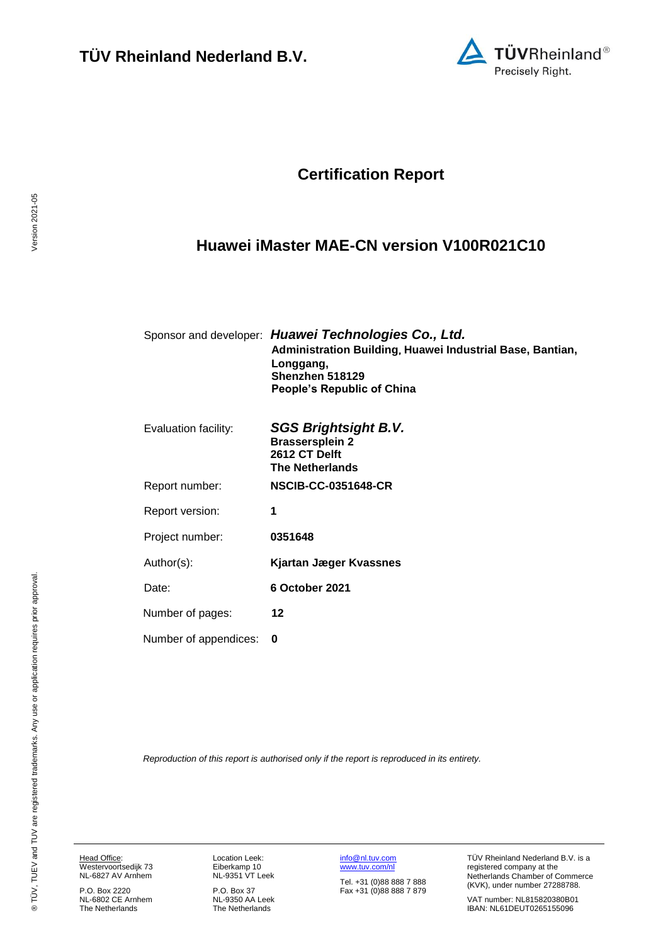

## **Certification Report**

## <span id="page-0-4"></span><span id="page-0-3"></span>**Huawei iMaster MAE-CN version V100R021C10**

<span id="page-0-1"></span><span id="page-0-0"></span>

|                       | Sponsor and developer: Huawei Technologies Co., Ltd.<br>Administration Building, Huawei Industrial Base, Bantian,<br>Longgang,<br>Shenzhen 518129<br><b>People's Republic of China</b> |
|-----------------------|----------------------------------------------------------------------------------------------------------------------------------------------------------------------------------------|
| Evaluation facility:  | SGS Brightsight B.V.<br><b>Brassersplein 2</b><br>2612 CT Delft<br><b>The Netherlands</b>                                                                                              |
| Report number:        | <b>NSCIB-CC-0351648-CR</b>                                                                                                                                                             |
| Report version:       | 1                                                                                                                                                                                      |
| Project number:       | 0351648                                                                                                                                                                                |
| Author(s):            | Kjartan Jæger Kvassnes                                                                                                                                                                 |
| Date:                 | 6 October 2021                                                                                                                                                                         |
| Number of pages:      | 12                                                                                                                                                                                     |
| Number of appendices: | 0                                                                                                                                                                                      |

<span id="page-0-2"></span>*Reproduction of this report is authorised only if the report is reproduced in its entirety.*

Head Office: Westervoortsedijk 73 NL-6827 AV Arnhem

P.O. Box 2220 NL-6802 CE Arnhem The Netherlands Location Leek: Eiberkamp 10 NL-9351 VT Leek

P.O. Box 37 NL-9350 AA Leek The Netherlands [info@nl.tuv.com](mailto:info@nl.tuv.com) [www.tuv.com/nl](http://www.tuv.com/nl)

Tel. +31 (0)88 888 7 888 Fax +31 (0)88 888 7 879 TÜV Rheinland Nederland B.V. is a registered company at the Netherlands Chamber of Commerce (KVK), under number 27288788.

VAT number: NL815820380B01 IBAN: NL61DEUT0265155096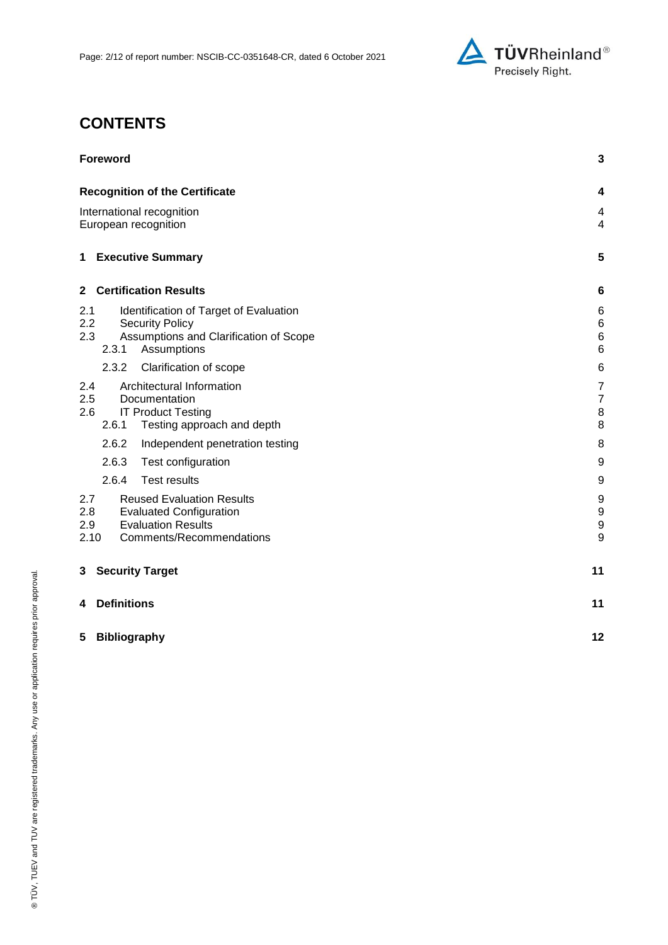

# **CONTENTS**

| <b>Foreword</b>                                                                                                                                          | 3                                                    |
|----------------------------------------------------------------------------------------------------------------------------------------------------------|------------------------------------------------------|
| <b>Recognition of the Certificate</b>                                                                                                                    | 4                                                    |
| International recognition<br>European recognition                                                                                                        | 4<br>$\overline{4}$                                  |
| <b>Executive Summary</b><br>1                                                                                                                            | 5                                                    |
| <b>Certification Results</b><br>$\mathbf{2}$                                                                                                             | 6                                                    |
| 2.1<br>Identification of Target of Evaluation<br>2.2<br><b>Security Policy</b><br>Assumptions and Clarification of Scope<br>2.3<br>2.3.1<br>Assumptions  | 6<br>$\,6$<br>$\,6$<br>$6\phantom{1}6$               |
| 2.3.2<br>Clarification of scope                                                                                                                          | $\,6$                                                |
| Architectural Information<br>2.4<br>2.5<br>Documentation<br><b>IT Product Testing</b><br>2.6<br>2.6.1<br>Testing approach and depth                      | $\overline{7}$<br>$\overline{7}$<br>$\,$ 8 $\,$<br>8 |
| 2.6.2<br>Independent penetration testing                                                                                                                 | 8                                                    |
| 2.6.3<br>Test configuration                                                                                                                              | 9                                                    |
| 2.6.4<br><b>Test results</b>                                                                                                                             | 9                                                    |
| 2.7<br><b>Reused Evaluation Results</b><br>2.8<br><b>Evaluated Configuration</b><br><b>Evaluation Results</b><br>2.9<br>Comments/Recommendations<br>2.10 | 9<br>$\boldsymbol{9}$<br>9<br>9                      |
| <b>Security Target</b><br>3                                                                                                                              | 11                                                   |
| <b>Definitions</b><br>4                                                                                                                                  | 11                                                   |
| <b>Bibliography</b><br>5                                                                                                                                 | 12                                                   |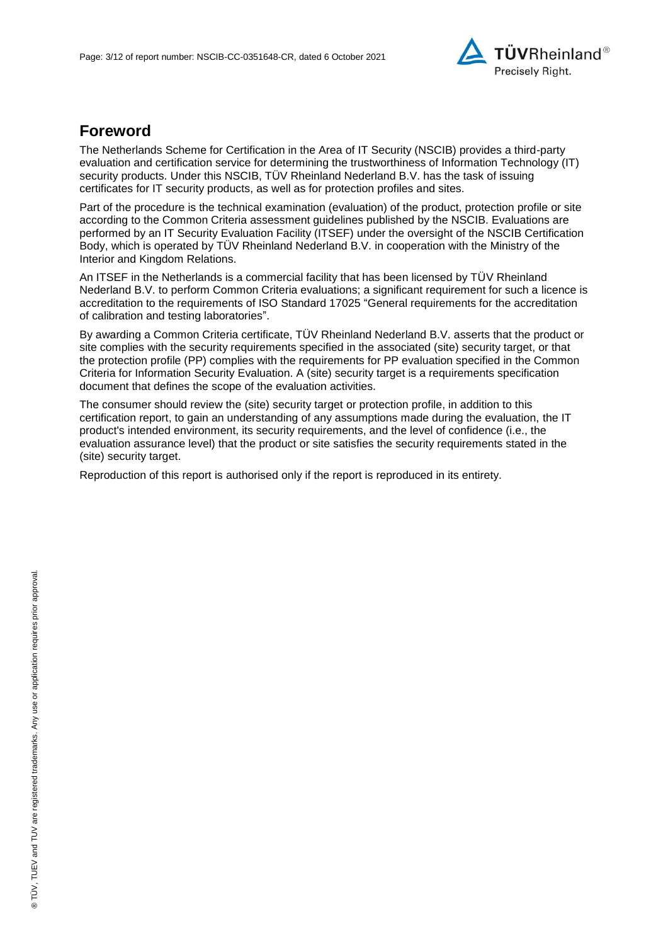

## **Foreword**

The Netherlands Scheme for Certification in the Area of IT Security (NSCIB) provides a third-party evaluation and certification service for determining the trustworthiness of Information Technology (IT) security products. Under this NSCIB, TÜV Rheinland Nederland B.V. has the task of issuing certificates for IT security products, as well as for protection profiles and sites.

Part of the procedure is the technical examination (evaluation) of the product, protection profile or site according to the Common Criteria assessment guidelines published by the NSCIB. Evaluations are performed by an IT Security Evaluation Facility (ITSEF) under the oversight of the NSCIB Certification Body, which is operated by TÜV Rheinland Nederland B.V. in cooperation with the Ministry of the Interior and Kingdom Relations.

An ITSEF in the Netherlands is a commercial facility that has been licensed by TÜV Rheinland Nederland B.V. to perform Common Criteria evaluations; a significant requirement for such a licence is accreditation to the requirements of ISO Standard 17025 "General requirements for the accreditation of calibration and testing laboratories".

By awarding a Common Criteria certificate, TÜV Rheinland Nederland B.V. asserts that the product or site complies with the security requirements specified in the associated (site) security target, or that the protection profile (PP) complies with the requirements for PP evaluation specified in the Common Criteria for Information Security Evaluation. A (site) security target is a requirements specification document that defines the scope of the evaluation activities.

The consumer should review the (site) security target or protection profile, in addition to this certification report, to gain an understanding of any assumptions made during the evaluation, the IT product's intended environment, its security requirements, and the level of confidence (i.e., the evaluation assurance level) that the product or site satisfies the security requirements stated in the (site) security target.

Reproduction of this report is authorised only if the report is reproduced in its entirety.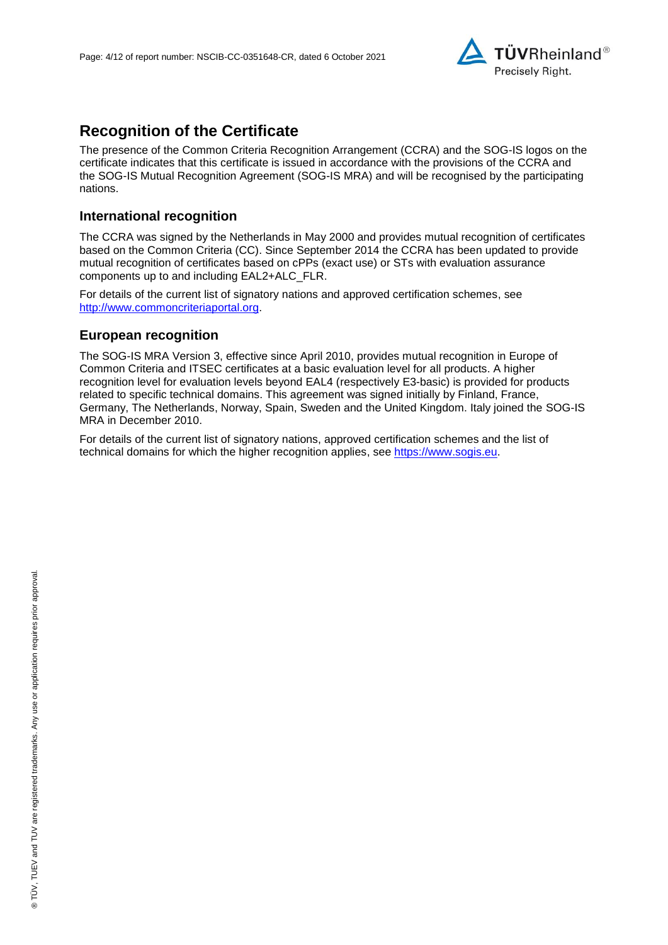

## **Recognition of the Certificate**

The presence of the Common Criteria Recognition Arrangement (CCRA) and the SOG-IS logos on the certificate indicates that this certificate is issued in accordance with the provisions of the CCRA and the SOG-IS Mutual Recognition Agreement (SOG-IS MRA) and will be recognised by the participating nations.

### **International recognition**

The CCRA was signed by the Netherlands in May 2000 and provides mutual recognition of certificates based on the Common Criteria (CC). Since September 2014 the CCRA has been updated to provide mutual recognition of certificates based on cPPs (exact use) or STs with evaluation assurance components up to and including EAL2+ALC\_FLR.

For details of the current list of signatory nations and approved certification schemes, see [http://www.commoncriteriaportal.org.](http://www.commoncriteriaportal.org/)

#### **European recognition**

The SOG-IS MRA Version 3, effective since April 2010, provides mutual recognition in Europe of Common Criteria and ITSEC certificates at a basic evaluation level for all products. A higher recognition level for evaluation levels beyond EAL4 (respectively E3-basic) is provided for products related to specific technical domains. This agreement was signed initially by Finland, France, Germany, The Netherlands, Norway, Spain, Sweden and the United Kingdom. Italy joined the SOG-IS MRA in December 2010.

For details of the current list of signatory nations, approved certification schemes and the list of technical domains for which the higher recognition applies, see [https://www.sogis.eu.](https://www.sogis.eu/)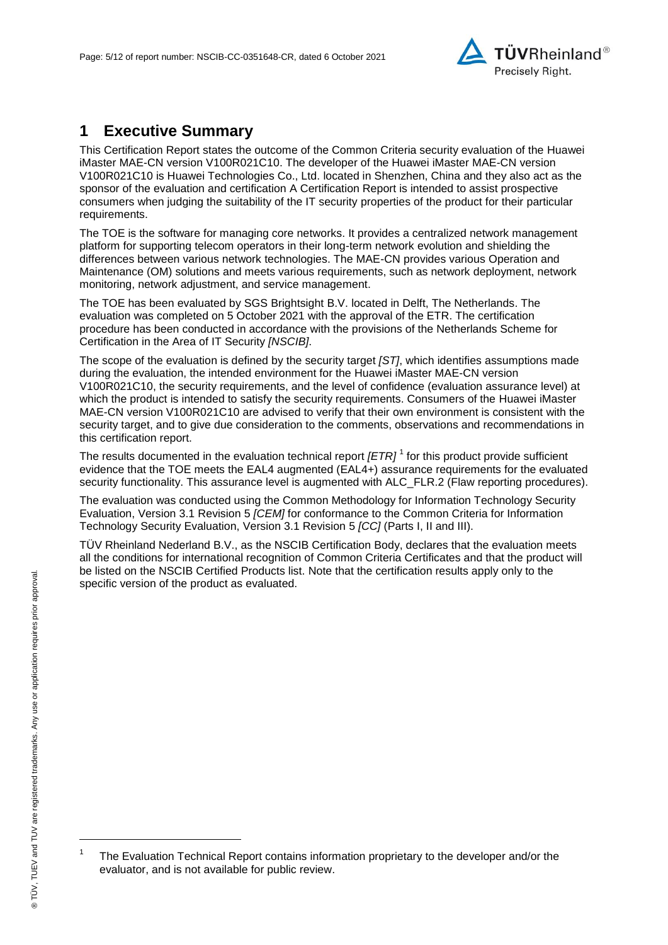<span id="page-4-2"></span>

## **1 Executive Summary**

This Certification Report states the outcome of the Common Criteria security evaluation of the [Huawei](#page-0-3)  [iMaster MAE-CN version V100R021C10.](#page-0-3) The developer of the [Huawei iMaster MAE-CN version](#page-0-3)  [V100R021C10](#page-0-3) is [Huawei Technologies Co., Ltd.](#page-0-4) located in Shenzhen, China and they also act as the sponsor of the evaluation and certification A Certification Report is intended to assist prospective consumers when judging the suitability of the IT security properties of the product for their particular requirements.

The TOE is the software for managing core networks. It provides a centralized network management platform for supporting telecom operators in their long-term network evolution and shielding the differences between various network technologies. The MAE-CN provides various Operation and Maintenance (OM) solutions and meets various requirements, such as network deployment, network monitoring, network adjustment, and service management.

The TOE has been evaluated by SGS Brightsight B.V. located in Delft, The Netherlands. The evaluation was completed on 5 October 2021 with the approval of the ETR. The certification procedure has been conducted in accordance with the provisions of the Netherlands Scheme for Certification in the Area of IT Security *[NSCIB]*.

The scope of the evaluation is defined by the security target *[ST]*, which identifies assumptions made during the evaluation, the intended environment for the [Huawei iMaster MAE-CN version](#page-0-3)  [V100R021C10,](#page-0-3) the security requirements, and the level of confidence (evaluation assurance level) at which the product is intended to satisfy the security requirements. Consumers of the [Huawei iMaster](#page-0-3)  [MAE-CN version V100R021C10](#page-0-3) are advised to verify that their own environment is consistent with the security target, and to give due consideration to the comments, observations and recommendations in this certification report.

<span id="page-4-0"></span>The results documented in the evaluation technical report *[ETR]* <sup>1</sup> for this product provide sufficient evidence that the TOE meets the EAL4 augmented (EA[L4+](#page-4-0)) assurance requirements for the evaluated security functionality. This assurance level is augmented with ALC\_FLR.2 (Flaw reporting procedures).

<span id="page-4-1"></span>The evaluation was conducted using the Common Methodology for Information Technology Security Evaluation, Version 3.1 Revision 5 *[CEM]* for conformance to the Common Criteria for Information Technology Security Evaluation, Version 3.1 Revision [5](#page-4-1) *[CC]* (Parts I, II and III).

TÜV Rheinland Nederland B.V., as the NSCIB Certification Body, declares that the evaluation meets all the conditions for international recognition of Common Criteria Certificates and that the product will be listed on the NSCIB Certified Products list. Note that the certification results apply only to the specific version of the product as evaluated.

l

<sup>1</sup> The Evaluation Technical Report contains information proprietary to the developer and/or the evaluator, and is not available for public review.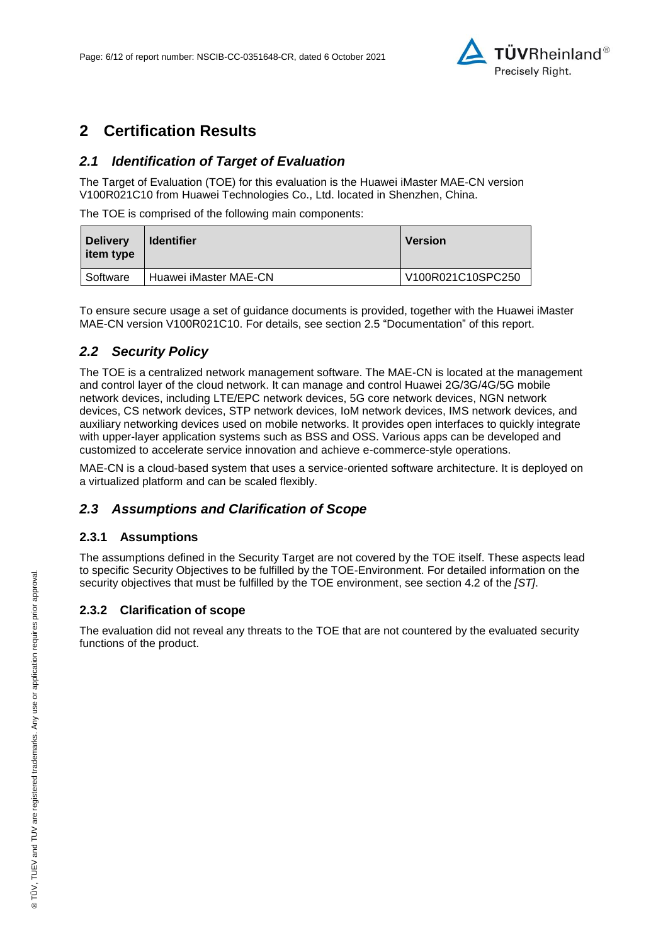

## **2 Certification Results**

### *2.1 Identification of Target of Evaluation*

The Target of Evaluation (TOE) for this evaluation is the [Huawei iMaster MAE-CN version](#page-0-3)  [V100R021C10](#page-0-3) from [Huawei Technologies Co., Ltd.](#page-0-4) located in [Shenzhen, China.](#page-4-2)

The TOE is comprised of the following main components:

| <b>Delivery</b><br>item type | <b>Identifier</b>     | <b>Version</b>    |
|------------------------------|-----------------------|-------------------|
| Software                     | Huawei iMaster MAE-CN | V100R021C10SPC250 |

To ensure secure usage a set of guidance documents is provided, together with the [Huawei iMaster](#page-0-3)  [MAE-CN version V100R021C10.](#page-0-3) For details, see section [2.5](#page-6-0) ["Documentation"](#page-6-0) of this report.

### *2.2 Security Policy*

The TOE is a centralized network management software. The MAE-CN is located at the management and control layer of the cloud network. It can manage and control Huawei 2G/3G/4G/5G mobile network devices, including LTE/EPC network devices, 5G core network devices, NGN network devices, CS network devices, STP network devices, IoM network devices, IMS network devices, and auxiliary networking devices used on mobile networks. It provides open interfaces to quickly integrate with upper-layer application systems such as BSS and OSS. Various apps can be developed and customized to accelerate service innovation and achieve e-commerce-style operations.

MAE-CN is a cloud-based system that uses a service-oriented software architecture. It is deployed on a virtualized platform and can be scaled flexibly.

### *2.3 Assumptions and Clarification of Scope*

#### **2.3.1 Assumptions**

The assumptions defined in the Security Target are not covered by the TOE itself. These aspects lead to specific Security Objectives to be fulfilled by the TOE-Environment. For detailed information on the security objectives that must be fulfilled by the TOE environment, see section 4.2 of the *[ST]*.

#### **2.3.2 Clarification of scope**

The evaluation did not reveal any threats to the TOE that are not countered by the evaluated security functions of the product.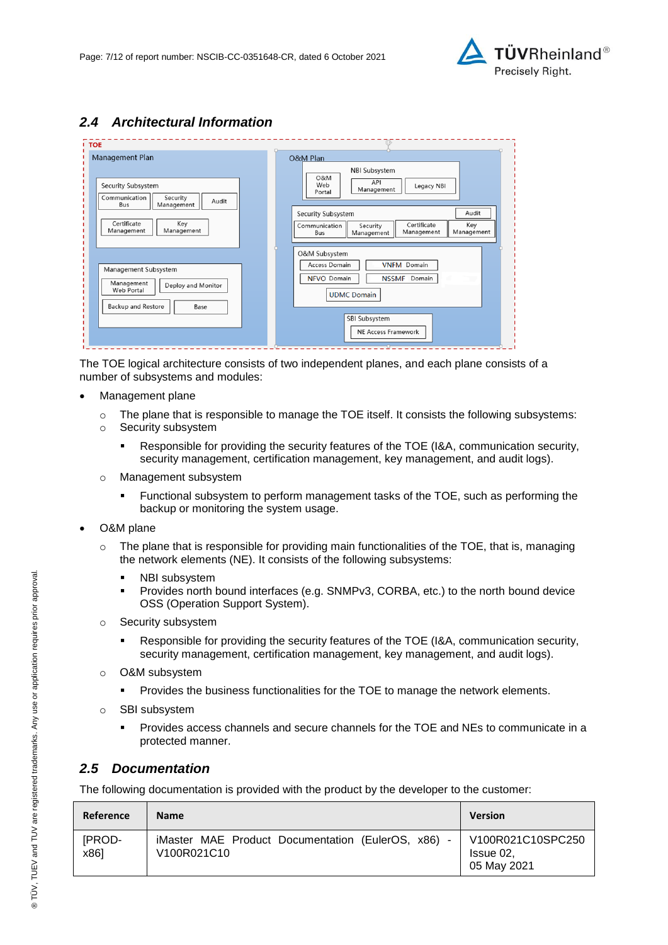

## *2.4 Architectural Information*

| Management Plan                                                                                             | O&M Plan                                                                                                                        |
|-------------------------------------------------------------------------------------------------------------|---------------------------------------------------------------------------------------------------------------------------------|
| Security Subsystem<br>Communication<br>Security<br>Audit<br>Management<br>Bus                               | <b>NBI Subsystem</b><br>O&M<br>API<br>Web<br>Legacy NBI<br>Management<br>Portal                                                 |
| Certificate<br>Key<br>Management<br>Management                                                              | Audit<br>Security Subsystem<br>Certificate<br>Key<br>Communication<br>Security<br>Management<br>Management<br>Management<br>Bus |
| Management Subsystem<br>Management<br>Deploy and Monitor<br>Web Portal<br><b>Backup and Restore</b><br>Base | O&M Subsystem<br>Access Domain<br><b>VNFM</b> Domain<br><b>NFVO</b> Domain<br><b>NSSMF</b><br>Domain<br><b>UDMC</b> Domain      |
|                                                                                                             | SBI Subsystem<br>NE Access Framework                                                                                            |

The TOE logical architecture consists of two independent planes, and each plane consists of a number of subsystems and modules:

- Management plane
	- $\circ$  The plane that is responsible to manage the TOE itself. It consists the following subsystems:
	- o Security subsystem
		- Responsible for providing the security features of the TOE (I&A, communication security, security management, certification management, key management, and audit logs).
	- o Management subsystem
		- Functional subsystem to perform management tasks of the TOE, such as performing the backup or monitoring the system usage.
- O&M plane
	- $\circ$  The plane that is responsible for providing main functionalities of the TOE, that is, managing the network elements (NE). It consists of the following subsystems:
		- **NBI** subsystem
		- Provides north bound interfaces (e.g. SNMPv3, CORBA, etc.) to the north bound device OSS (Operation Support System).
	- o Security subsystem
		- Responsible for providing the security features of the TOE (I&A, communication security, security management, certification management, key management, and audit logs).
	- o O&M subsystem
		- **Provides the business functionalities for the TOE to manage the network elements.**
	- o SBI subsystem
		- Provides access channels and secure channels for the TOE and NEs to communicate in a protected manner.

#### <span id="page-6-0"></span>*2.5 Documentation*

The following documentation is provided with the product by the developer to the customer:

| Reference      | <b>Name</b>                                                                                           | <b>Version</b>                                |
|----------------|-------------------------------------------------------------------------------------------------------|-----------------------------------------------|
| [PROD-<br>x861 | iMaster MAE Product Documentation (EulerOS, x86)<br>V <sub>100</sub> R <sub>021</sub> C <sub>10</sub> | V100R021C10SPC250<br>Issue 02,<br>05 May 2021 |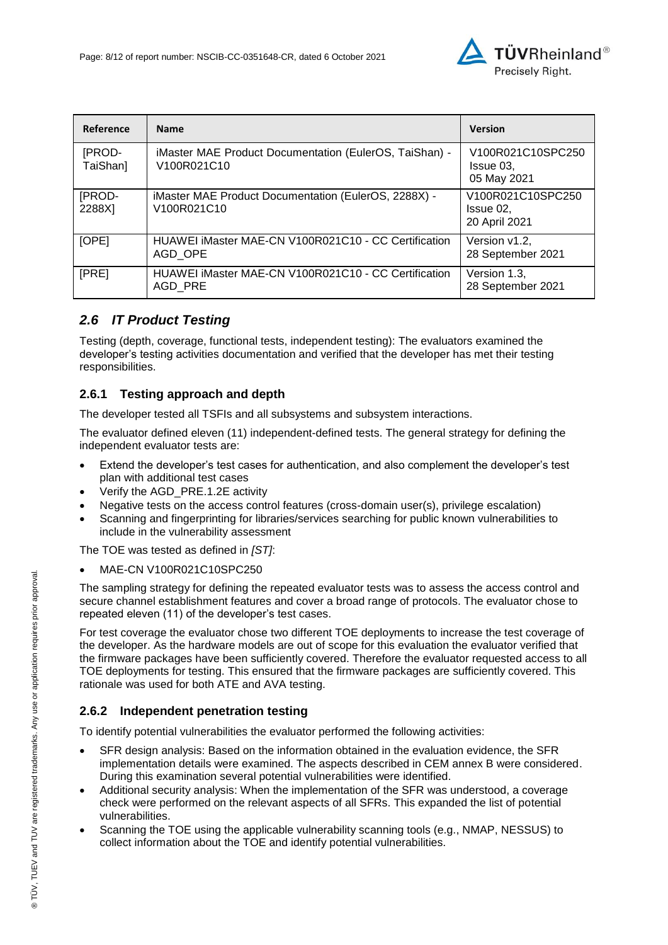

| Reference          | <b>Name</b>                                                                                               | <b>Version</b>                                  |
|--------------------|-----------------------------------------------------------------------------------------------------------|-------------------------------------------------|
| [PROD-<br>TaiShan] | iMaster MAE Product Documentation (EulerOS, TaiShan) -<br>V100R021C10                                     | V100R021C10SPC250<br>Issue 03.<br>05 May 2021   |
| [PROD-<br>2288X]   | iMaster MAE Product Documentation (EulerOS, 2288X) -<br>V <sub>100</sub> R <sub>021</sub> C <sub>10</sub> | V100R021C10SPC250<br>Issue 02,<br>20 April 2021 |
| [OPE]              | HUAWEI iMaster MAE-CN V100R021C10 - CC Certification<br>AGD OPE                                           | Version v1.2,<br>28 September 2021              |
| [PRE]              | HUAWEI iMaster MAE-CN V100R021C10 - CC Certification<br>AGD PRE                                           | Version 1.3,<br>28 September 2021               |

## *2.6 IT Product Testing*

Testing (depth, coverage, functional tests, independent testing): The evaluators examined the developer's testing activities documentation and verified that the developer has met their testing responsibilities.

### **2.6.1 Testing approach and depth**

The developer tested all TSFIs and all subsystems and subsystem interactions.

The evaluator defined eleven (11) independent-defined tests. The general strategy for defining the independent evaluator tests are:

- Extend the developer's test cases for authentication, and also complement the developer's test plan with additional test cases
- Verify the AGD\_PRE.1.2E activity
- Negative tests on the access control features (cross-domain user(s), privilege escalation)
- Scanning and fingerprinting for libraries/services searching for public known vulnerabilities to include in the vulnerability assessment

The TOE was tested as defined in *[ST]*:

MAE-CN V100R021C10SPC250

The sampling strategy for defining the repeated evaluator tests was to assess the access control and secure channel establishment features and cover a broad range of protocols. The evaluator chose to repeated eleven (11) of the developer's test cases.

For test coverage the evaluator chose two different TOE deployments to increase the test coverage of the developer. As the hardware models are out of scope for this evaluation the evaluator verified that the firmware packages have been sufficiently covered. Therefore the evaluator requested access to all TOE deployments for testing. This ensured that the firmware packages are sufficiently covered. This rationale was used for both ATE and AVA testing.

### **2.6.2 Independent penetration testing**

To identify potential vulnerabilities the evaluator performed the following activities:

- SFR design analysis: Based on the information obtained in the evaluation evidence, the SFR implementation details were examined. The aspects described in CEM annex B were considered. During this examination several potential vulnerabilities were identified.
- Additional security analysis: When the implementation of the SFR was understood, a coverage check were performed on the relevant aspects of all SFRs. This expanded the list of potential vulnerabilities.
- Scanning the TOE using the applicable vulnerability scanning tools (e.g., NMAP, NESSUS) to collect information about the TOE and identify potential vulnerabilities.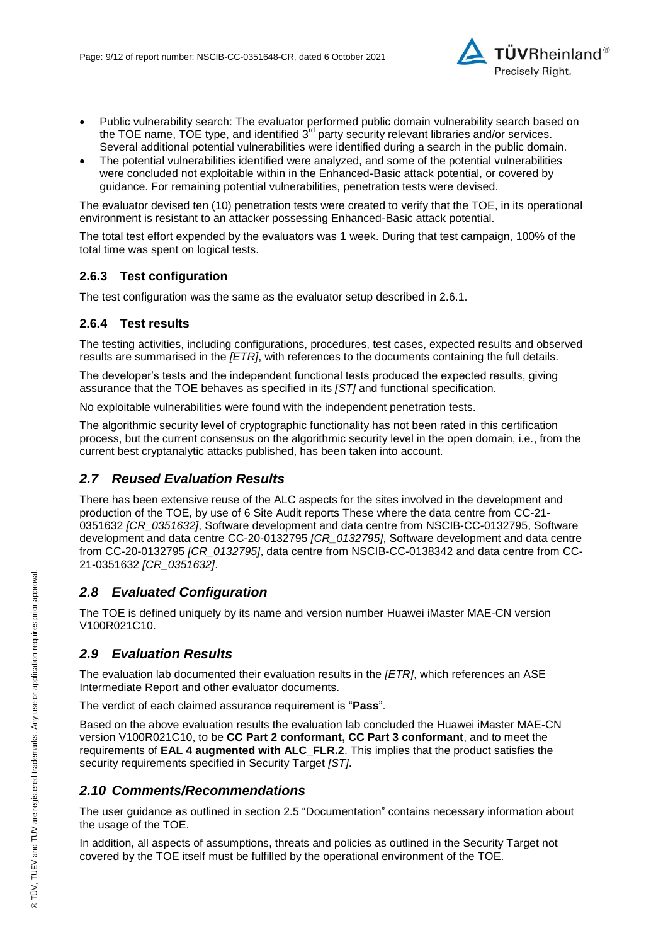

- Public vulnerability search: The evaluator performed public domain vulnerability search based on the TOE name, TOE type, and identified  $3<sup>rd</sup>$  party security relevant libraries and/or services. Several additional potential vulnerabilities were identified during a search in the public domain.
- The potential vulnerabilities identified were analyzed, and some of the potential vulnerabilities were concluded not exploitable within in the Enhanced-Basic attack potential, or covered by guidance. For remaining potential vulnerabilities, penetration tests were devised.

The evaluator devised ten (10) penetration tests were created to verify that the TOE, in its operational environment is resistant to an attacker possessing Enhanced-Basic attack potential.

The total test effort expended by the evaluators was 1 week. During that test campaign, 100% of the total time was spent on logical tests.

#### **2.6.3 Test configuration**

The test configuration was the same as the evaluator setup described in 2.6.1.

#### **2.6.4 Test results**

The testing activities, including configurations, procedures, test cases, expected results and observed results are summarised in the *[ETR]*, with references to the documents containing the full details.

The developer's tests and the independent functional tests produced the expected results, giving assurance that the TOE behaves as specified in its *[ST]* and functional specification.

No exploitable vulnerabilities were found with the independent penetration tests.

The algorithmic security level of cryptographic functionality has not been rated in this certification process, but the current consensus on the algorithmic security level in the open domain, i.e., from the current best cryptanalytic attacks published, has been taken into account.

#### *2.7 Reused Evaluation Results*

There has been extensive reuse of the ALC aspects for the sites involved in the development and production of the TOE, by use of 6 Site Audit reports These where the data centre from CC-21- 0351632 *[CR\_0351632]*, Software development and data centre from NSCIB-CC-0132795, Software development and data centre CC-20-0132795 *[CR\_0132795]*, Software development and data centre from CC-20-0132795 *[CR\_0132795]*, data centre from NSCIB-CC-0138342 and data centre from CC-21-0351632 *[CR\_0351632]*.

#### *2.8 Evaluated Configuration*

The TOE is defined uniquely by its name and version number [Huawei iMaster MAE-CN version](#page-0-3)  [V100R021C10.](#page-0-3)

#### *2.9 Evaluation Results*

The evaluation lab documented their evaluation results in the *[ETR]*, which references an ASE Intermediate Report and other evaluator documents.

The verdict of each claimed assurance requirement is "**Pass**".

Based on the above evaluation results the evaluation lab concluded the [Huawei iMaster MAE-CN](#page-0-3)  [version V100R021C10,](#page-0-3) to be **CC Part 2 conformant, CC Part 3 conformant**, and to meet the requirements of **EAL [4](#page-4-0) augmented with ALC\_FLR.2**. This implies that the product satisfies the security requirements specified in Security Target *[ST]*.

#### *2.10 Comments/Recommendations*

The user guidance as outlined in section [2.5](#page-6-0) ["Documentation"](#page-6-0) contains necessary information about the usage of the TOE.

In addition, all aspects of assumptions, threats and policies as outlined in the Security Target not covered by the TOE itself must be fulfilled by the operational environment of the TOE.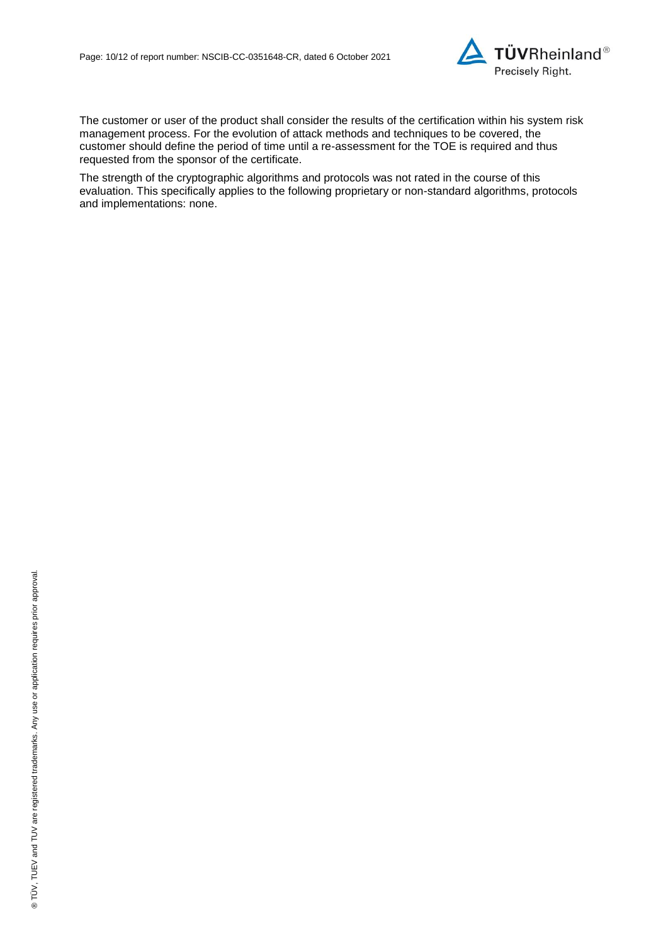

The customer or user of the product shall consider the results of the certification within his system risk management process. For the evolution of attack methods and techniques to be covered, the customer should define the period of time until a re-assessment for the TOE is required and thus requested from the sponsor of the certificate.

The strength of the cryptographic algorithms and protocols was not rated in the course of this evaluation. This specifically applies to the following proprietary or non-standard algorithms, protocols and implementations: none.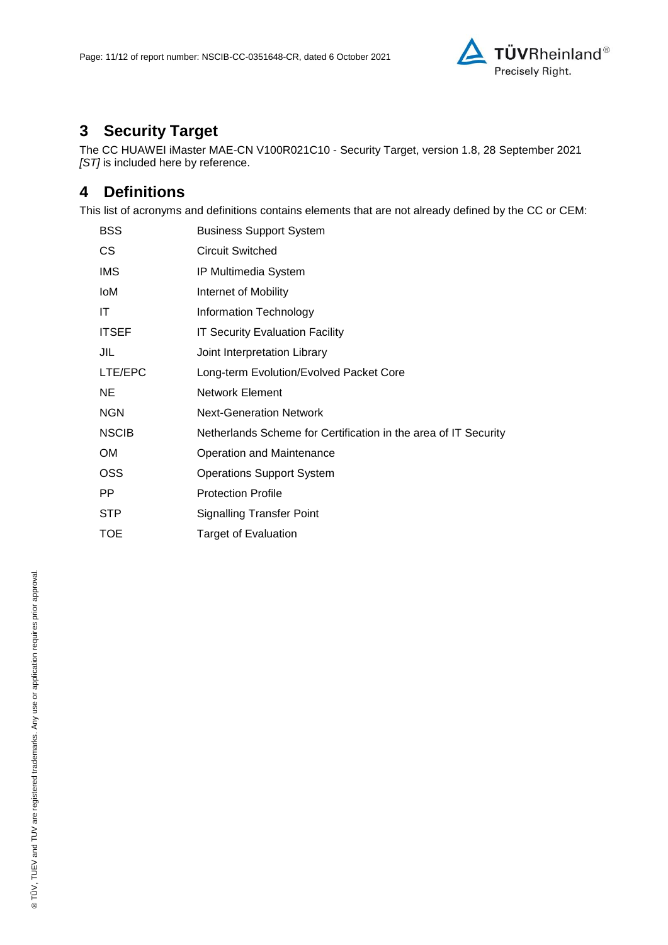

# **3 Security Target**

The CC HUAWEI iMaster MAE-CN V100R021C10 - [Security Target, version 1.8, 28 September 2021](#page-11-0) *[ST]* is included here by reference.

## **4 Definitions**

This list of acronyms and definitions contains elements that are not already defined by the CC or CEM:

| <b>BSS</b>   | <b>Business Support System</b>                                  |
|--------------|-----------------------------------------------------------------|
| <b>CS</b>    | <b>Circuit Switched</b>                                         |
| IMS          | IP Multimedia System                                            |
| loM          | Internet of Mobility                                            |
| ΙT           | Information Technology                                          |
| <b>ITSEF</b> | IT Security Evaluation Facility                                 |
| JIL          | Joint Interpretation Library                                    |
| LTE/EPC      | Long-term Evolution/Evolved Packet Core                         |
| <b>NE</b>    | <b>Network Element</b>                                          |
| <b>NGN</b>   | <b>Next-Generation Network</b>                                  |
| <b>NSCIB</b> | Netherlands Scheme for Certification in the area of IT Security |
| OM           | Operation and Maintenance                                       |
| <b>OSS</b>   | <b>Operations Support System</b>                                |
| PP.          | <b>Protection Profile</b>                                       |
| <b>STP</b>   | <b>Signalling Transfer Point</b>                                |
| TOE          | <b>Target of Evaluation</b>                                     |